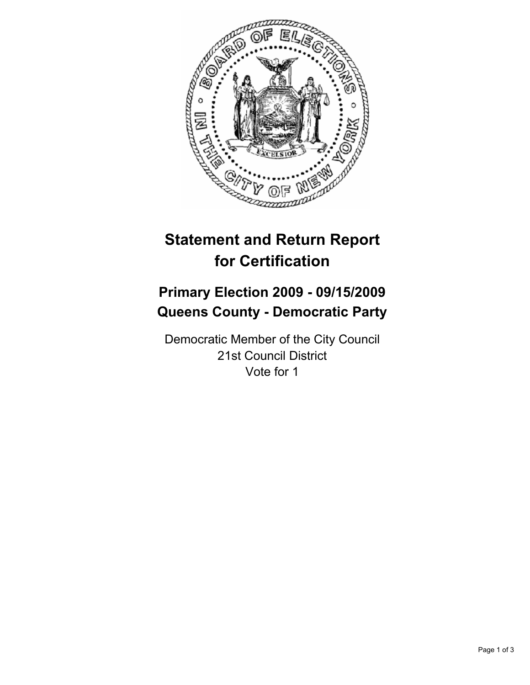

# **Statement and Return Report for Certification**

## **Primary Election 2009 - 09/15/2009 Queens County - Democratic Party**

Democratic Member of the City Council 21st Council District Vote for 1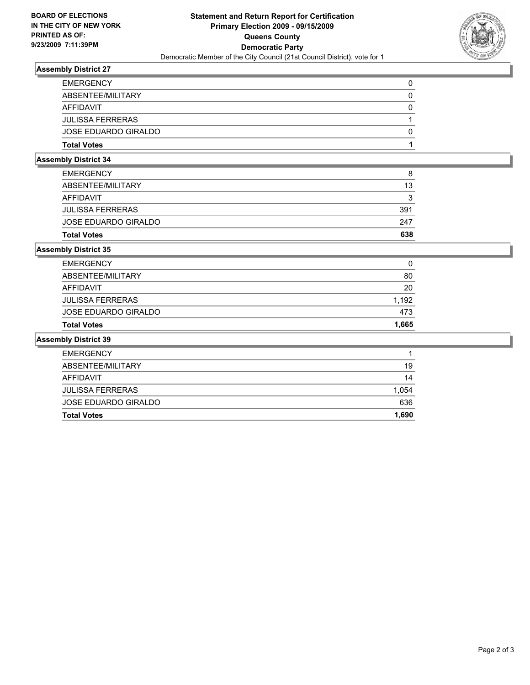

### **Assembly District 27**

| <b>Total Votes</b>      |   |
|-------------------------|---|
| JOSE EDUARDO GIRALDO    | 0 |
| <b>JULISSA FERRERAS</b> |   |
| AFFIDAVIT               | 0 |
| ABSENTEE/MILITARY       |   |
| <b>EMERGENCY</b>        | 0 |

### **Assembly District 34**

| <b>EMERGENCY</b>        | 8   |
|-------------------------|-----|
| ABSENTEE/MILITARY       | 13  |
| AFFIDAVIT               | 3   |
| <b>JULISSA FERRERAS</b> | 391 |
| JOSE EDUARDO GIRALDO    | 247 |
| <b>Total Votes</b>      | 638 |

### **Assembly District 35**

| <b>Total Votes</b>      | 1.665 |
|-------------------------|-------|
| JOSE EDUARDO GIRALDO    | 473   |
| <b>JULISSA FERRERAS</b> | 1.192 |
| AFFIDAVIT               | 20    |
| ABSENTEE/MILITARY       | 80    |
| <b>EMERGENCY</b>        | 0     |

#### **Assembly District 39**

| AFFIDAVIT                                              | 14           |
|--------------------------------------------------------|--------------|
| <b>JULISSA FERRERAS</b><br><b>JOSE EDUARDO GIRALDO</b> | 1,054<br>636 |
| <b>Total Votes</b>                                     | 1,690        |